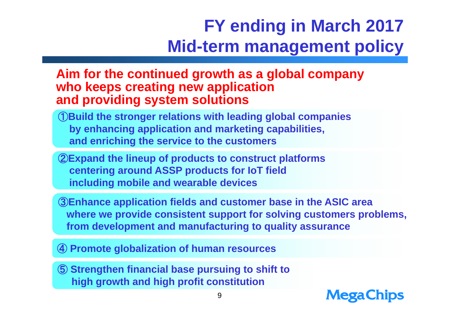### **FY ending in March 2017 Mid-term management policy**

### **Aim for the continued growth as a global company who keeps creating new application and providing system solutions**

- ①**Build the stronger relations with leading global companies by enhancing application and marketing capabilities, and enriching the service to the customers**
- ②**Expand the lineup of products to construct platforms centering around ASSP products for IoT field including mobile and wearable devices**
- ③**Enhance application fields and customer base in the ASIC area where we provide consistent support for solving customers problems, from development and manufacturing to quality assurance**

④ **Promote globalization of human resources**

⑤ **Strengthen financial base pursuing to shift to high growth and high profit constitution**

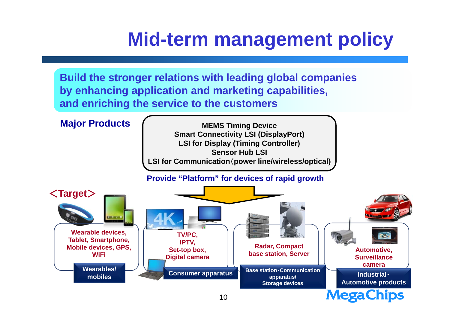**Build the stronger relations with leading global companies by enhancing application and marketing capabilities, and enriching the service to the customers**

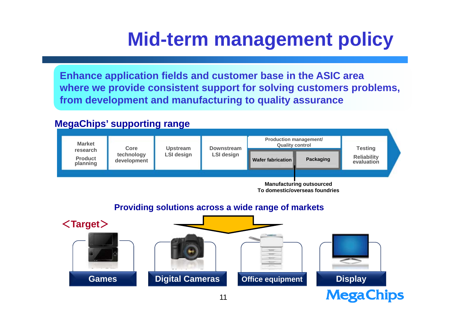**Enhance application fields and customer base in the ASIC area where we provide consistent support for solving customers problems, from development and manufacturing to quality assurance**

#### **MegaChips' supporting range**



**To domestic/overseas foundries**

#### **Providing solutions across a wide range of markets**

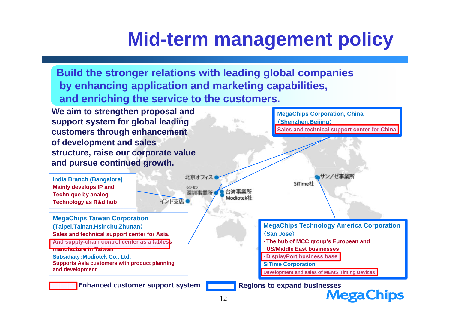**MegaChips Corporation, China**

(**Shenzhen,Beijing**)

**Build the stronger relations with leading global companies by enhancing application and marketing capabilities, and enriching the service to the customers.**

**We aim to strengthen proposal and support system for global leading customers through enhancement of development and sales structure, raise our corporate value and pursue continued growth.**